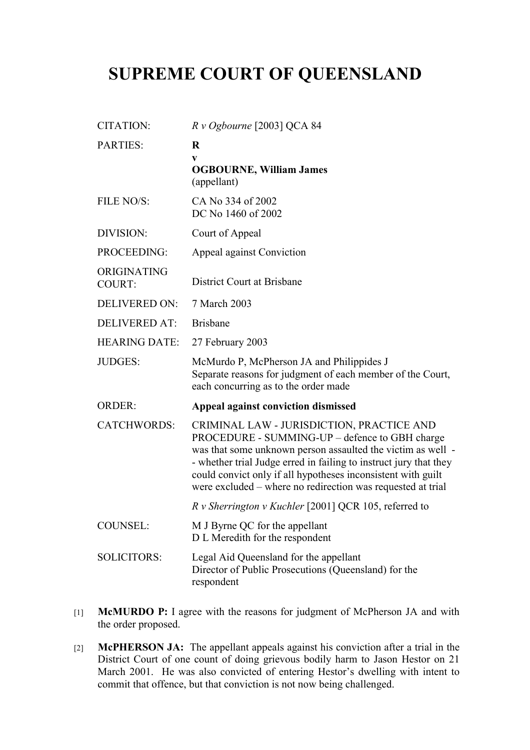## **SUPREME COURT OF QUEENSLAND**

| CITATION:                    | $R \nu$ Ogbourne [2003] QCA 84                                                                                                                                                                                                                                                                                                                                 |
|------------------------------|----------------------------------------------------------------------------------------------------------------------------------------------------------------------------------------------------------------------------------------------------------------------------------------------------------------------------------------------------------------|
| <b>PARTIES:</b>              | $\bf{R}$<br>V<br><b>OGBOURNE, William James</b><br>(appellant)                                                                                                                                                                                                                                                                                                 |
| FILE NO/S:                   | CA No 334 of 2002<br>DC No 1460 of 2002                                                                                                                                                                                                                                                                                                                        |
| DIVISION:                    | Court of Appeal                                                                                                                                                                                                                                                                                                                                                |
| PROCEEDING:                  | Appeal against Conviction                                                                                                                                                                                                                                                                                                                                      |
| ORIGINATING<br><b>COURT:</b> | District Court at Brisbane                                                                                                                                                                                                                                                                                                                                     |
| <b>DELIVERED ON:</b>         | 7 March 2003                                                                                                                                                                                                                                                                                                                                                   |
| <b>DELIVERED AT:</b>         | <b>Brisbane</b>                                                                                                                                                                                                                                                                                                                                                |
| <b>HEARING DATE:</b>         | 27 February 2003                                                                                                                                                                                                                                                                                                                                               |
| <b>JUDGES:</b>               | McMurdo P, McPherson JA and Philippides J<br>Separate reasons for judgment of each member of the Court,<br>each concurring as to the order made                                                                                                                                                                                                                |
| <b>ORDER:</b>                | Appeal against conviction dismissed                                                                                                                                                                                                                                                                                                                            |
| <b>CATCHWORDS:</b>           | CRIMINAL LAW - JURISDICTION, PRACTICE AND<br>PROCEDURE - SUMMING-UP – defence to GBH charge<br>was that some unknown person assaulted the victim as well -<br>- whether trial Judge erred in failing to instruct jury that they<br>could convict only if all hypotheses inconsistent with guilt<br>were excluded - where no redirection was requested at trial |
|                              | R v Sherrington v Kuchler [2001] QCR 105, referred to                                                                                                                                                                                                                                                                                                          |
| <b>COUNSEL:</b>              | M J Byrne QC for the appellant<br>D L Meredith for the respondent                                                                                                                                                                                                                                                                                              |
| <b>SOLICITORS:</b>           | Legal Aid Queensland for the appellant<br>Director of Public Prosecutions (Queensland) for the<br>respondent                                                                                                                                                                                                                                                   |

- [1] **McMURDO P:** I agree with the reasons for judgment of McPherson JA and with the order proposed.
- [2] **McPHERSON JA:** The appellant appeals against his conviction after a trial in the District Court of one count of doing grievous bodily harm to Jason Hestor on 21 March 2001. He was also convicted of entering Hestor's dwelling with intent to commit that offence, but that conviction is not now being challenged.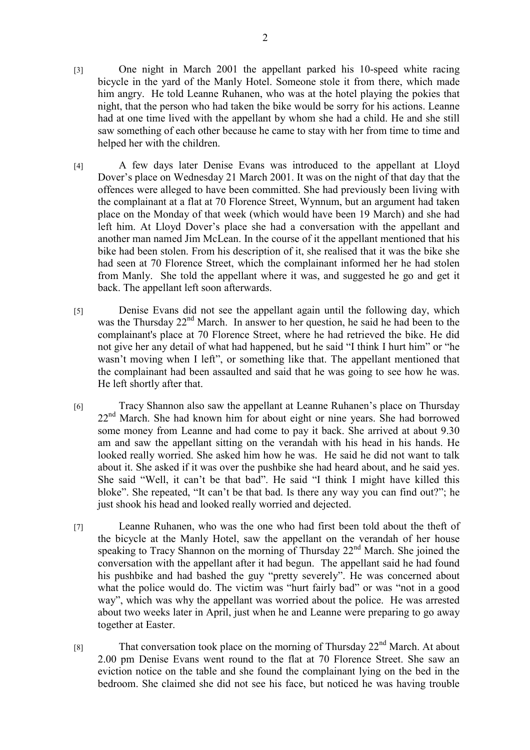- [4] A few days later Denise Evans was introduced to the appellant at Lloyd Dover's place on Wednesday 21 March 2001. It was on the night of that day that the offences were alleged to have been committed. She had previously been living with the complainant at a flat at 70 Florence Street, Wynnum, but an argument had taken place on the Monday of that week (which would have been 19 March) and she had left him. At Lloyd Dover's place she had a conversation with the appellant and another man named Jim McLean. In the course of it the appellant mentioned that his bike had been stolen. From his description of it, she realised that it was the bike she had seen at 70 Florence Street, which the complainant informed her he had stolen from Manly. She told the appellant where it was, and suggested he go and get it back. The appellant left soon afterwards.
- [5] Denise Evans did not see the appellant again until the following day, which was the Thursday 22<sup>nd</sup> March. In answer to her question, he said he had been to the complainant's place at 70 Florence Street, where he had retrieved the bike. He did not give her any detail of what had happened, but he said "I think I hurt him" or "he wasn't moving when I left", or something like that. The appellant mentioned that the complainant had been assaulted and said that he was going to see how he was. He left shortly after that.
- [6] Tracy Shannon also saw the appellant at Leanne Ruhanen's place on Thursday 22<sup>nd</sup> March. She had known him for about eight or nine years. She had borrowed some money from Leanne and had come to pay it back. She arrived at about 9.30 am and saw the appellant sitting on the verandah with his head in his hands. He looked really worried. She asked him how he was. He said he did not want to talk about it. She asked if it was over the pushbike she had heard about, and he said yes. She said "Well, it can't be that bad". He said "I think I might have killed this bloke". She repeated, "It can't be that bad. Is there any way you can find out?"; he just shook his head and looked really worried and dejected.
- [7] Leanne Ruhanen, who was the one who had first been told about the theft of the bicycle at the Manly Hotel, saw the appellant on the verandah of her house speaking to Tracy Shannon on the morning of Thursday 22<sup>nd</sup> March. She joined the conversation with the appellant after it had begun. The appellant said he had found his pushbike and had bashed the guy "pretty severely". He was concerned about what the police would do. The victim was "hurt fairly bad" or was "not in a good way", which was why the appellant was worried about the police. He was arrested about two weeks later in April, just when he and Leanne were preparing to go away together at Easter.
- [8] That conversation took place on the morning of Thursday 22<sup>nd</sup> March. At about 2.00 pm Denise Evans went round to the flat at 70 Florence Street. She saw an eviction notice on the table and she found the complainant lying on the bed in the bedroom. She claimed she did not see his face, but noticed he was having trouble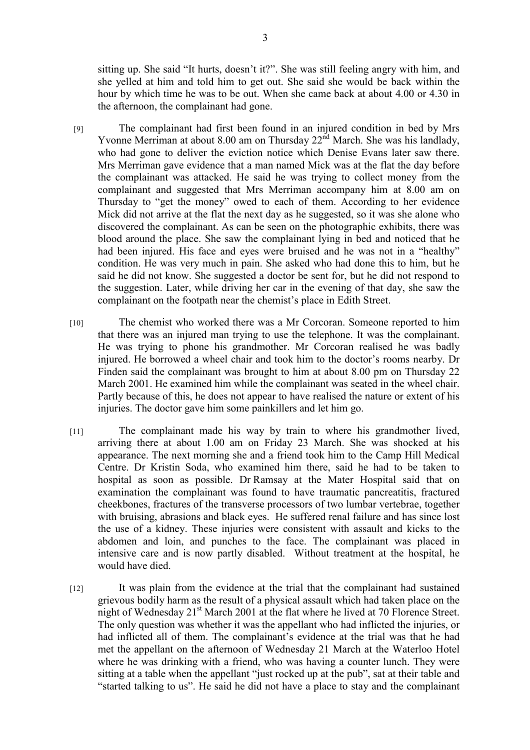sitting up. She said "It hurts, doesn't it?". She was still feeling angry with him, and she yelled at him and told him to get out. She said she would be back within the hour by which time he was to be out. When she came back at about 4.00 or 4.30 in the afternoon, the complainant had gone.

- [9] The complainant had first been found in an injured condition in bed by Mrs Yvonne Merriman at about 8.00 am on Thursday  $22<sup>nd</sup>$  March. She was his landlady, who had gone to deliver the eviction notice which Denise Evans later saw there. Mrs Merriman gave evidence that a man named Mick was at the flat the day before the complainant was attacked. He said he was trying to collect money from the complainant and suggested that Mrs Merriman accompany him at 8.00 am on Thursday to "get the money" owed to each of them. According to her evidence Mick did not arrive at the flat the next day as he suggested, so it was she alone who discovered the complainant. As can be seen on the photographic exhibits, there was blood around the place. She saw the complainant lying in bed and noticed that he had been injured. His face and eyes were bruised and he was not in a "healthy" condition. He was very much in pain. She asked who had done this to him, but he said he did not know. She suggested a doctor be sent for, but he did not respond to the suggestion. Later, while driving her car in the evening of that day, she saw the complainant on the footpath near the chemist's place in Edith Street.
- [10] The chemist who worked there was a Mr Corcoran. Someone reported to him that there was an injured man trying to use the telephone. It was the complainant. He was trying to phone his grandmother. Mr Corcoran realised he was badly injured. He borrowed a wheel chair and took him to the doctor's rooms nearby. Dr Finden said the complainant was brought to him at about 8.00 pm on Thursday 22 March 2001. He examined him while the complainant was seated in the wheel chair. Partly because of this, he does not appear to have realised the nature or extent of his injuries. The doctor gave him some painkillers and let him go.
- [11] The complainant made his way by train to where his grandmother lived, arriving there at about 1.00 am on Friday 23 March. She was shocked at his appearance. The next morning she and a friend took him to the Camp Hill Medical Centre. Dr Kristin Soda, who examined him there, said he had to be taken to hospital as soon as possible. Dr Ramsay at the Mater Hospital said that on examination the complainant was found to have traumatic pancreatitis, fractured cheekbones, fractures of the transverse processors of two lumbar vertebrae, together with bruising, abrasions and black eyes. He suffered renal failure and has since lost the use of a kidney. These injuries were consistent with assault and kicks to the abdomen and loin, and punches to the face. The complainant was placed in intensive care and is now partly disabled. Without treatment at the hospital, he would have died.
- [12] It was plain from the evidence at the trial that the complainant had sustained grievous bodily harm as the result of a physical assault which had taken place on the night of Wednesday 21<sup>st</sup> March 2001 at the flat where he lived at 70 Florence Street. The only question was whether it was the appellant who had inflicted the injuries, or had inflicted all of them. The complainant's evidence at the trial was that he had met the appellant on the afternoon of Wednesday 21 March at the Waterloo Hotel where he was drinking with a friend, who was having a counter lunch. They were sitting at a table when the appellant "just rocked up at the pub", sat at their table and "started talking to us". He said he did not have a place to stay and the complainant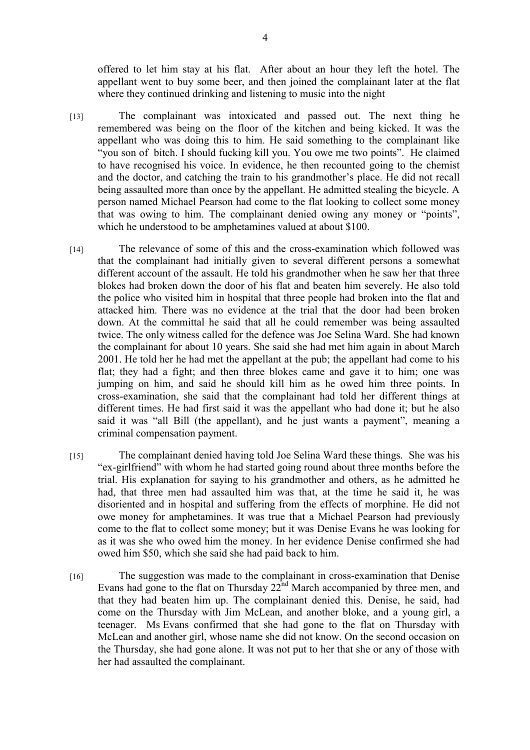offered to let him stay at his flat. After about an hour they left the hotel. The appellant went to buy some beer, and then joined the complainant later at the flat where they continued drinking and listening to music into the night

- [13] The complainant was intoxicated and passed out. The next thing he remembered was being on the floor of the kitchen and being kicked. It was the appellant who was doing this to him. He said something to the complainant like "you son of bitch. I should fucking kill you. You owe me two points". He claimed to have recognised his voice. In evidence, he then recounted going to the chemist and the doctor, and catching the train to his grandmother's place. He did not recall being assaulted more than once by the appellant. He admitted stealing the bicycle. A person named Michael Pearson had come to the flat looking to collect some money that was owing to him. The complainant denied owing any money or "points", which he understood to be amphetamines valued at about \$100.
- [14] The relevance of some of this and the cross-examination which followed was that the complainant had initially given to several different persons a somewhat different account of the assault. He told his grandmother when he saw her that three blokes had broken down the door of his flat and beaten him severely. He also told the police who visited him in hospital that three people had broken into the flat and attacked him. There was no evidence at the trial that the door had been broken down. At the committal he said that all he could remember was being assaulted twice. The only witness called for the defence was Joe Selina Ward. She had known the complainant for about 10 years. She said she had met him again in about March 2001. He told her he had met the appellant at the pub; the appellant had come to his flat; they had a fight; and then three blokes came and gave it to him; one was jumping on him, and said he should kill him as he owed him three points. In cross-examination, she said that the complainant had told her different things at different times. He had first said it was the appellant who had done it; but he also said it was "all Bill (the appellant), and he just wants a payment", meaning a criminal compensation payment.
- [15] The complainant denied having told Joe Selina Ward these things. She was his "ex-girlfriend" with whom he had started going round about three months before the trial. His explanation for saying to his grandmother and others, as he admitted he had, that three men had assaulted him was that, at the time he said it, he was disoriented and in hospital and suffering from the effects of morphine. He did not owe money for amphetamines. It was true that a Michael Pearson had previously come to the flat to collect some money; but it was Denise Evans he was looking for as it was she who owed him the money. In her evidence Denise confirmed she had owed him \$50, which she said she had paid back to him.
- [16] The suggestion was made to the complainant in cross-examination that Denise Evans had gone to the flat on Thursday  $22<sup>nd</sup>$  March accompanied by three men, and that they had beaten him up. The complainant denied this. Denise, he said, had come on the Thursday with Jim McLean, and another bloke, and a young girl, a teenager. Ms Evans confirmed that she had gone to the flat on Thursday with McLean and another girl, whose name she did not know. On the second occasion on the Thursday, she had gone alone. It was not put to her that she or any of those with her had assaulted the complainant.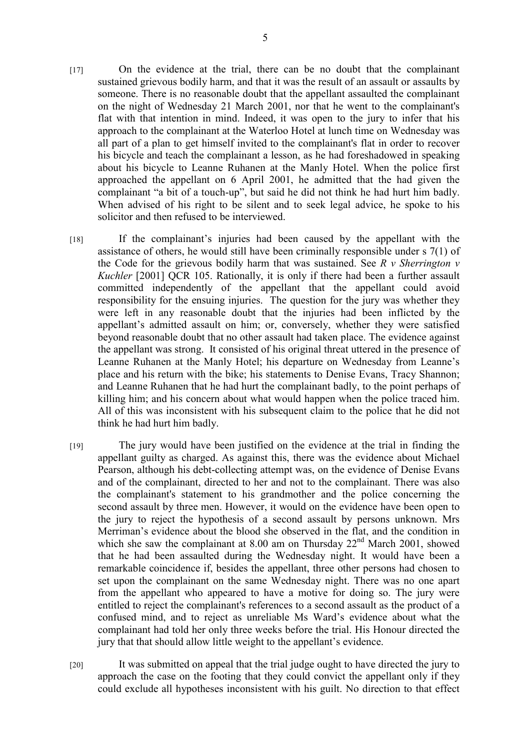- [17] On the evidence at the trial, there can be no doubt that the complainant sustained grievous bodily harm, and that it was the result of an assault or assaults by someone. There is no reasonable doubt that the appellant assaulted the complainant on the night of Wednesday 21 March 2001, nor that he went to the complainant's flat with that intention in mind. Indeed, it was open to the jury to infer that his approach to the complainant at the Waterloo Hotel at lunch time on Wednesday was all part of a plan to get himself invited to the complainant's flat in order to recover his bicycle and teach the complainant a lesson, as he had foreshadowed in speaking about his bicycle to Leanne Ruhanen at the Manly Hotel. When the police first approached the appellant on 6 April 2001, he admitted that the had given the complainant "a bit of a touch-up", but said he did not think he had hurt him badly. When advised of his right to be silent and to seek legal advice, he spoke to his solicitor and then refused to be interviewed.
- [18] If the complainant's injuries had been caused by the appellant with the assistance of others, he would still have been criminally responsible under s 7(1) of the Code for the grievous bodily harm that was sustained. See *R v Sherrington v Kuchler* [2001] QCR 105. Rationally, it is only if there had been a further assault committed independently of the appellant that the appellant could avoid responsibility for the ensuing injuries. The question for the jury was whether they were left in any reasonable doubt that the injuries had been inflicted by the appellant's admitted assault on him; or, conversely, whether they were satisfied beyond reasonable doubt that no other assault had taken place. The evidence against the appellant was strong. It consisted of his original threat uttered in the presence of Leanne Ruhanen at the Manly Hotel; his departure on Wednesday from Leanne's place and his return with the bike; his statements to Denise Evans, Tracy Shannon; and Leanne Ruhanen that he had hurt the complainant badly, to the point perhaps of killing him; and his concern about what would happen when the police traced him. All of this was inconsistent with his subsequent claim to the police that he did not think he had hurt him badly.
- [19] The jury would have been justified on the evidence at the trial in finding the appellant guilty as charged. As against this, there was the evidence about Michael Pearson, although his debt-collecting attempt was, on the evidence of Denise Evans and of the complainant, directed to her and not to the complainant. There was also the complainant's statement to his grandmother and the police concerning the second assault by three men. However, it would on the evidence have been open to the jury to reject the hypothesis of a second assault by persons unknown. Mrs Merriman's evidence about the blood she observed in the flat, and the condition in which she saw the complainant at 8.00 am on Thursday  $22<sup>nd</sup>$  March 2001, showed that he had been assaulted during the Wednesday night. It would have been a remarkable coincidence if, besides the appellant, three other persons had chosen to set upon the complainant on the same Wednesday night. There was no one apart from the appellant who appeared to have a motive for doing so. The jury were entitled to reject the complainant's references to a second assault as the product of a confused mind, and to reject as unreliable Ms Ward's evidence about what the complainant had told her only three weeks before the trial. His Honour directed the jury that that should allow little weight to the appellant's evidence.
- [20] It was submitted on appeal that the trial judge ought to have directed the jury to approach the case on the footing that they could convict the appellant only if they could exclude all hypotheses inconsistent with his guilt. No direction to that effect